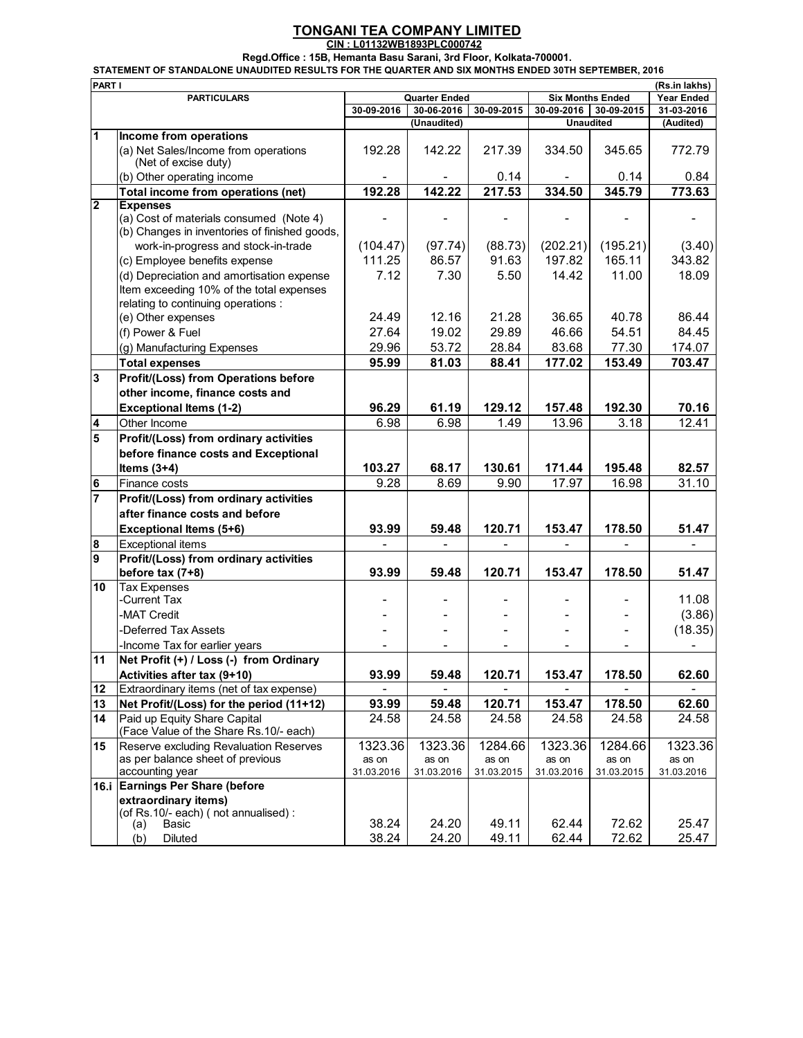## **TONGANI TEA COMPANY LIMITED**

**CIN : L01132WB1893PLC000742**

**Regd.Office : 15B, Hemanta Basu Sarani, 3rd Floor, Kolkata-700001.**

|  | STATEMENT OF STANDALONE UNAUDITED RESULTS FOR THE QUARTER AND SIX MONTHS ENDED 30TH SEPTEMBER. 2016 |  |  |  |
|--|-----------------------------------------------------------------------------------------------------|--|--|--|
|  |                                                                                                     |  |  |  |
|  |                                                                                                     |  |  |  |

|                | PART I<br>(Rs.in lakhs)<br><b>Year Ended</b>                                                                                 |            |                      |                |                  |                         |            |
|----------------|------------------------------------------------------------------------------------------------------------------------------|------------|----------------------|----------------|------------------|-------------------------|------------|
|                | <b>PARTICULARS</b>                                                                                                           |            | <b>Quarter Ended</b> |                |                  | <b>Six Months Ended</b> |            |
|                |                                                                                                                              | 30-09-2016 | 30-06-2016           | 30-09-2015     | 30-09-2016       | 30-09-2015              | 31-03-2016 |
| 1              |                                                                                                                              |            | (Unaudited)          |                | <b>Unaudited</b> |                         | (Audited)  |
|                | Income from operations<br>(a) Net Sales/Income from operations                                                               | 192.28     | 142.22               | 217.39         | 334.50           | 345.65                  | 772.79     |
|                | (Net of excise duty)<br>(b) Other operating income                                                                           |            |                      | 0.14           |                  | 0.14                    | 0.84       |
|                | Total income from operations (net)                                                                                           | 192.28     | 142.22               | 217.53         | 334.50           | 345.79                  | 773.63     |
| 2              | <b>Expenses</b>                                                                                                              |            |                      |                |                  |                         |            |
|                | (a) Cost of materials consumed (Note 4)<br>(b) Changes in inventories of finished goods,                                     |            |                      |                |                  |                         |            |
|                | work-in-progress and stock-in-trade                                                                                          | (104.47)   | (97.74)              | (88.73)        | (202.21)         | (195.21)                | (3.40)     |
|                | (c) Employee benefits expense                                                                                                | 111.25     | 86.57                | 91.63          | 197.82           | 165.11                  | 343.82     |
|                | (d) Depreciation and amortisation expense<br>Item exceeding 10% of the total expenses<br>relating to continuing operations : | 7.12       | 7.30                 | 5.50           | 14.42            | 11.00                   | 18.09      |
|                | (e) Other expenses                                                                                                           | 24.49      | 12.16                | 21.28          | 36.65            | 40.78                   | 86.44      |
|                | (f) Power & Fuel                                                                                                             | 27.64      | 19.02                | 29.89          | 46.66            | 54.51                   | 84.45      |
|                | (g) Manufacturing Expenses                                                                                                   | 29.96      | 53.72                | 28.84          | 83.68            | 77.30                   | 174.07     |
|                | <b>Total expenses</b>                                                                                                        | 95.99      | 81.03                | 88.41          | 177.02           | 153.49                  | 703.47     |
| 3              | <b>Profit/(Loss) from Operations before</b>                                                                                  |            |                      |                |                  |                         |            |
|                | other income, finance costs and                                                                                              |            |                      |                |                  |                         |            |
|                | <b>Exceptional Items (1-2)</b>                                                                                               | 96.29      | 61.19                | 129.12         | 157.48           | 192.30                  | 70.16      |
| 4              | Other Income                                                                                                                 | 6.98       | 6.98                 | 1.49           | 13.96            | 3.18                    | 12.41      |
| 5              | Profit/(Loss) from ordinary activities                                                                                       |            |                      |                |                  |                         |            |
|                | before finance costs and Exceptional                                                                                         |            |                      |                |                  |                         |            |
|                | Items $(3+4)$                                                                                                                | 103.27     | 68.17                | 130.61         | 171.44           | 195.48                  | 82.57      |
| 6              | Finance costs                                                                                                                | 9.28       | 8.69                 | 9.90           | 17.97            | 16.98                   | 31.10      |
| $\overline{7}$ | Profit/(Loss) from ordinary activities                                                                                       |            |                      |                |                  |                         |            |
|                | after finance costs and before                                                                                               |            |                      |                |                  |                         |            |
|                | Exceptional Items (5+6)                                                                                                      | 93.99      | 59.48                | 120.71         | 153.47           | 178.50                  | 51.47      |
| 8              | <b>Exceptional items</b>                                                                                                     | ÷.         | $\overline{a}$       | $\overline{a}$ |                  |                         |            |
| 9              | Profit/(Loss) from ordinary activities                                                                                       |            |                      |                |                  |                         |            |
|                | before $tax(7+8)$                                                                                                            | 93.99      | 59.48                | 120.71         | 153.47           | 178.50                  | 51.47      |
| 10             | <b>Tax Expenses</b>                                                                                                          |            |                      |                |                  |                         |            |
|                | -Current Tax                                                                                                                 |            |                      |                |                  |                         | 11.08      |
|                | -MAT Credit                                                                                                                  |            |                      |                |                  |                         | (3.86)     |
|                | -Deferred Tax Assets                                                                                                         |            |                      |                |                  |                         | (18.35)    |
|                | -Income Tax for earlier years                                                                                                |            |                      |                |                  |                         |            |
| 11             | Net Profit (+) / Loss (-) from Ordinary                                                                                      |            |                      |                |                  |                         |            |
| 12             | Activities after tax (9+10)<br>Extraordinary items (net of tax expense)                                                      | 93.99      | 59.48                | 120.71         | 153.47           | 178.50                  | 62.60      |
| 13             | Net Profit/(Loss) for the period (11+12)                                                                                     | 93.99      | 59.48                | 120.71         | 153.47           | 178.50                  | 62.60      |
| 14             | Paid up Equity Share Capital                                                                                                 | 24.58      | 24.58                | 24.58          | 24.58            | 24.58                   | 24.58      |
|                | (Face Value of the Share Rs.10/- each)                                                                                       |            |                      |                |                  |                         |            |
| 15             | Reserve excluding Revaluation Reserves                                                                                       | 1323.36    | 1323.36              | 1284.66        | 1323.36          | 1284.66                 | 1323.36    |
|                | as per balance sheet of previous                                                                                             | as on      | as on                | as on          | as on            | as on                   | as on      |
|                | accounting year                                                                                                              | 31.03.2016 | 31.03.2016           | 31.03.2015     | 31.03.2016       | 31.03.2015              | 31.03.2016 |
|                | 16.i Earnings Per Share (before                                                                                              |            |                      |                |                  |                         |            |
|                | extraordinary items)                                                                                                         |            |                      |                |                  |                         |            |
|                | (of Rs.10/- each) (not annualised) :<br>Basic<br>(a)                                                                         | 38.24      | 24.20                | 49.11          | 62.44            | 72.62                   | 25.47      |
|                | (b)<br>Diluted                                                                                                               | 38.24      | 24.20                | 49.11          | 62.44            | 72.62                   | 25.47      |